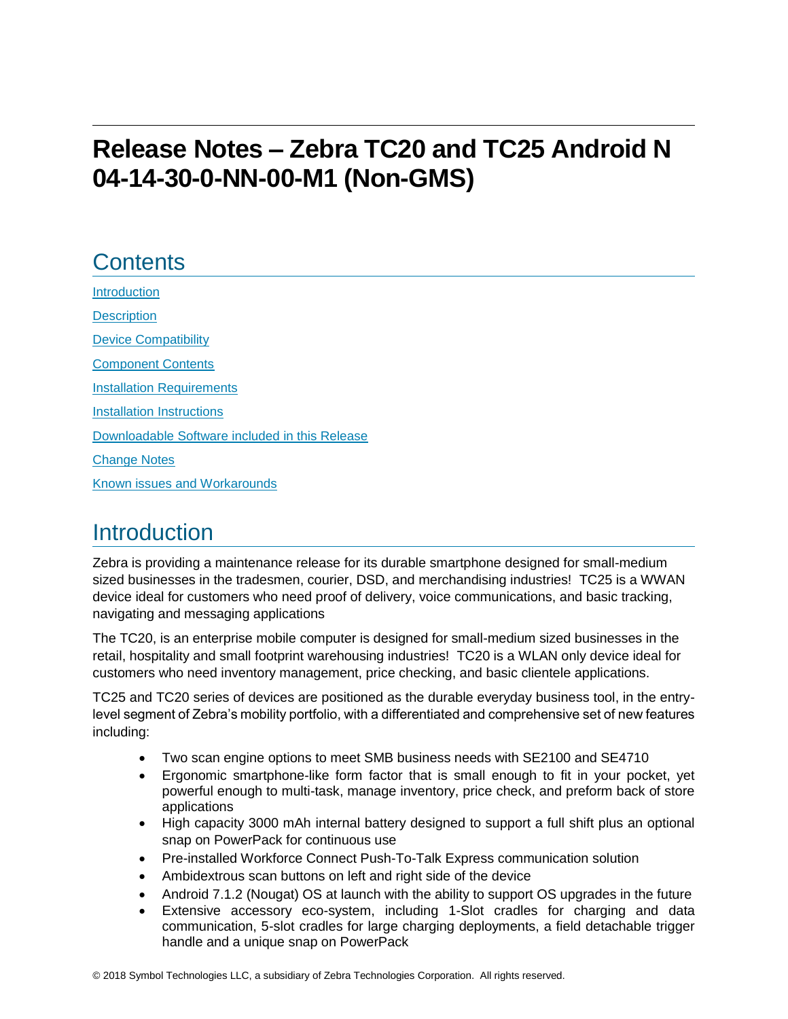# **Release Notes – Zebra TC20 and TC25 Android N 04-14-30-0-NN-00-M1 (Non-GMS)**

## **Contents**

[Introduction](#page-0-0) **[Description](#page-0-0)** [Device Compatibility](#page-1-0) [Component Contents](#page-1-1) [Installation Requirements](#page-2-0) [Installation Instructions](#page-3-0) [Downloadable Software included in this Release](#page-5-0) [Change Notes](#page-5-1) Known [issues](#page-10-0) [and](#page-10-0) Workarounds

## <span id="page-0-0"></span>**Introduction**

Zebra is providing a maintenance release for its durable smartphone designed for small-medium sized businesses in the tradesmen, courier, DSD, and merchandising industries! TC25 is a WWAN device ideal for customers who need proof of delivery, voice communications, and basic tracking, navigating and messaging applications

The TC20, is an enterprise mobile computer is designed for small-medium sized businesses in the retail, hospitality and small footprint warehousing industries! TC20 is a WLAN only device ideal for customers who need inventory management, price checking, and basic clientele applications.

TC25 and TC20 series of devices are positioned as the durable everyday business tool, in the entrylevel segment of Zebra's mobility portfolio, with a differentiated and comprehensive set of new features including:

- Two scan engine options to meet SMB business needs with SE2100 and SE4710
- Ergonomic smartphone-like form factor that is small enough to fit in your pocket, yet powerful enough to multi-task, manage inventory, price check, and preform back of store applications
- High capacity 3000 mAh internal battery designed to support a full shift plus an optional snap on PowerPack for continuous use
- Pre-installed Workforce Connect Push-To-Talk Express communication solution
- Ambidextrous scan buttons on left and right side of the device
- Android 7.1.2 (Nougat) OS at launch with the ability to support OS upgrades in the future
- Extensive accessory eco-system, including 1-Slot cradles for charging and data communication, 5-slot cradles for large charging deployments, a field detachable trigger handle and a unique snap on PowerPack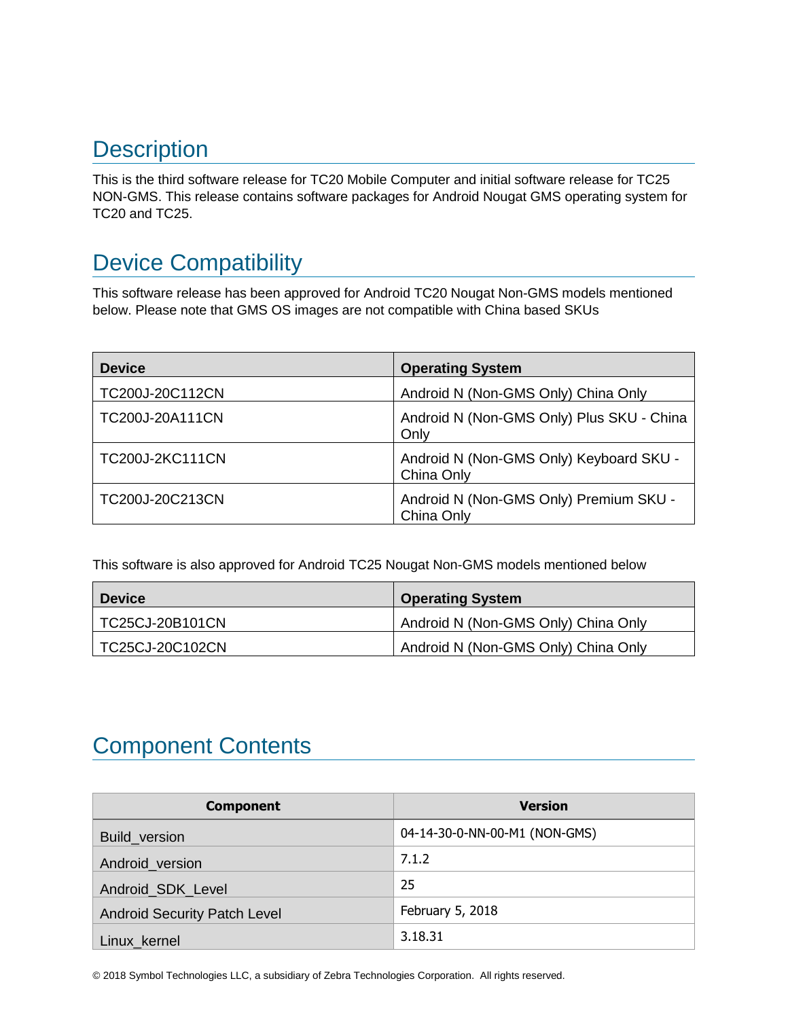## **Description**

<span id="page-1-0"></span>This is the third software release for TC20 Mobile Computer and initial software release for TC25 NON-GMS. This release contains software packages for Android Nougat GMS operating system for TC20 and TC25.

## Device Compatibility

This software release has been approved for Android TC20 Nougat Non-GMS models mentioned below. Please note that GMS OS images are not compatible with China based SKUs

| <b>Device</b>          | <b>Operating System</b>                               |
|------------------------|-------------------------------------------------------|
| TC200J-20C112CN        | Android N (Non-GMS Only) China Only                   |
| TC200J-20A111CN        | Android N (Non-GMS Only) Plus SKU - China<br>Only     |
| <b>TC200J-2KC111CN</b> | Android N (Non-GMS Only) Keyboard SKU -<br>China Only |
| TC200J-20C213CN        | Android N (Non-GMS Only) Premium SKU -<br>China Only  |

This software is also approved for Android TC25 Nougat Non-GMS models mentioned below

| <b>Device</b>   | <b>Operating System</b>             |
|-----------------|-------------------------------------|
| TC25CJ-20B101CN | Android N (Non-GMS Only) China Only |
| TC25CJ-20C102CN | Android N (Non-GMS Only) China Only |

## <span id="page-1-1"></span>Component Contents

| <b>Component</b>                    | <b>Version</b>                |
|-------------------------------------|-------------------------------|
| Build_version                       | 04-14-30-0-NN-00-M1 (NON-GMS) |
| Android_version                     | 7.1.2                         |
| Android_SDK_Level                   | 25                            |
| <b>Android Security Patch Level</b> | February 5, 2018              |
| Linux_kernel                        | 3.18.31                       |

© 2018 Symbol Technologies LLC, a subsidiary of Zebra Technologies Corporation. All rights reserved.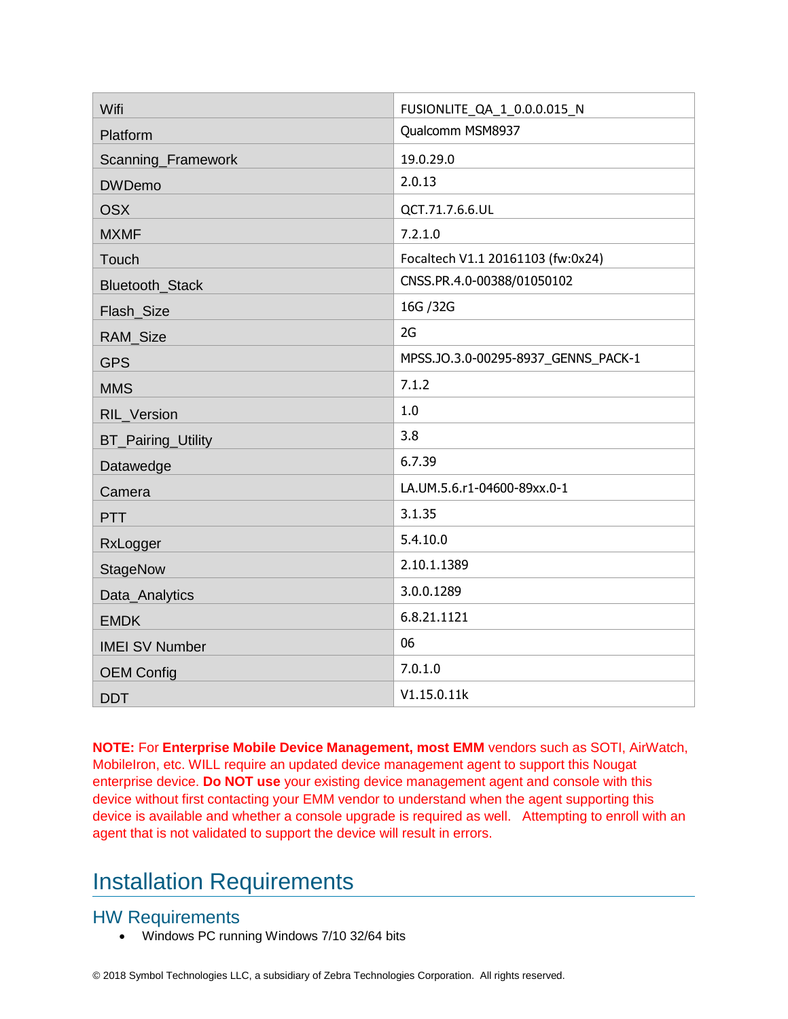| Wifi                      | FUSIONLITE_QA_1_0.0.0.015_N         |
|---------------------------|-------------------------------------|
| Platform                  | Qualcomm MSM8937                    |
| Scanning_Framework        | 19.0.29.0                           |
| <b>DWDemo</b>             | 2.0.13                              |
| <b>OSX</b>                | QCT.71.7.6.6.UL                     |
| <b>MXMF</b>               | 7.2.1.0                             |
| Touch                     | Focaltech V1.1 20161103 (fw:0x24)   |
| Bluetooth_Stack           | CNSS.PR.4.0-00388/01050102          |
| Flash_Size                | 16G / 32G                           |
| RAM_Size                  | 2G                                  |
| <b>GPS</b>                | MPSS.JO.3.0-00295-8937 GENNS PACK-1 |
| <b>MMS</b>                | 7.1.2                               |
| RIL_Version               | 1.0                                 |
| <b>BT_Pairing_Utility</b> | 3.8                                 |
| Datawedge                 | 6.7.39                              |
| Camera                    | LA.UM.5.6.r1-04600-89xx.0-1         |
| <b>PTT</b>                | 3.1.35                              |
| RxLogger                  | 5.4.10.0                            |
| StageNow                  | 2.10.1.1389                         |
| Data_Analytics            | 3.0.0.1289                          |
| <b>EMDK</b>               | 6.8.21.1121                         |
| <b>IMEI SV Number</b>     | 06                                  |
| <b>OEM Config</b>         | 7.0.1.0                             |
| <b>DDT</b>                | V1.15.0.11k                         |

**NOTE:** For **Enterprise Mobile Device Management, most EMM** vendors such as SOTI, AirWatch, MobileIron, etc. WILL require an updated device management agent to support this Nougat enterprise device. **Do NOT use** your existing device management agent and console with this device without first contacting your EMM vendor to understand when the agent supporting this device is available and whether a console upgrade is required as well. Attempting to enroll with an agent that is not validated to support the device will result in errors.

## <span id="page-2-0"></span>Installation Requirements

### HW Requirements

• Windows PC running Windows 7/10 32/64 bits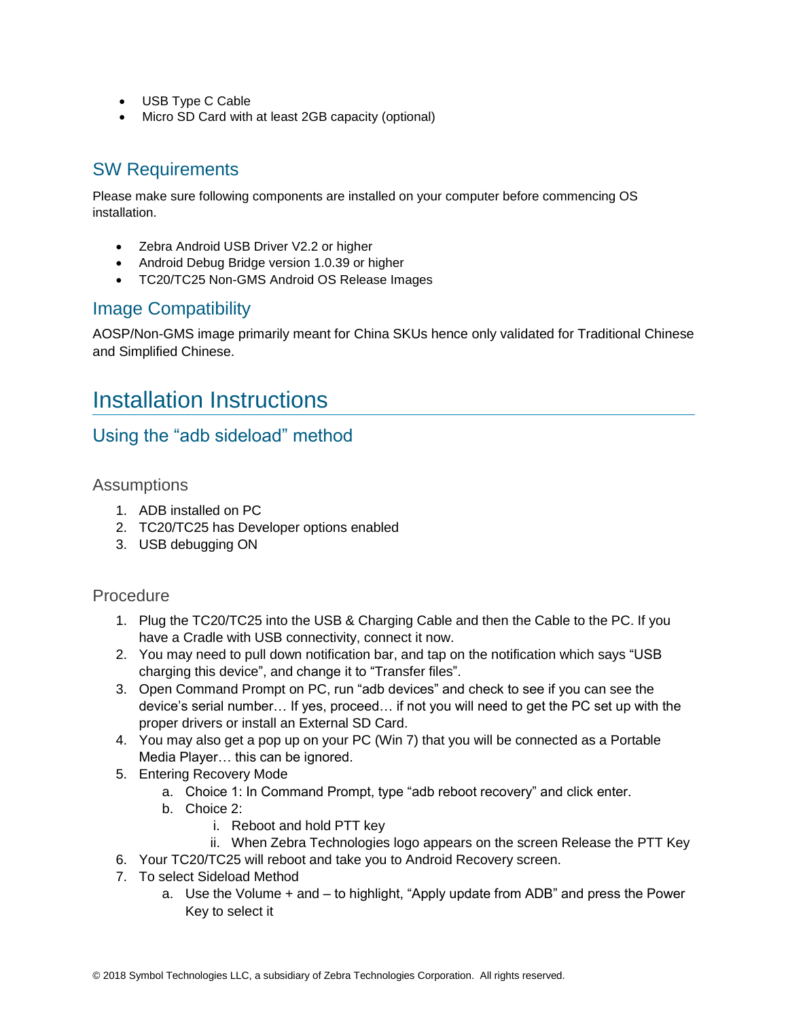- USB Type C Cable
- Micro SD Card with at least 2GB capacity (optional)

## SW Requirements

Please make sure following components are installed on your computer before commencing OS installation.

- Zebra Android USB Driver V2.2 or higher
- Android Debug Bridge version 1.0.39 or higher
- TC20/TC25 Non-GMS Android OS Release Images

#### Image Compatibility

AOSP/Non-GMS image primarily meant for China SKUs hence only validated for Traditional Chinese and Simplified Chinese.

## <span id="page-3-0"></span>Installation Instructions

### Using the "adb sideload" method

Assumptions

- 1. ADB installed on PC
- 2. TC20/TC25 has Developer options enabled
- 3. USB debugging ON

#### Procedure

- 1. Plug the TC20/TC25 into the USB & Charging Cable and then the Cable to the PC. If you have a Cradle with USB connectivity, connect it now.
- 2. You may need to pull down notification bar, and tap on the notification which says "USB charging this device", and change it to "Transfer files".
- 3. Open Command Prompt on PC, run "adb devices" and check to see if you can see the device's serial number… If yes, proceed… if not you will need to get the PC set up with the proper drivers or install an External SD Card.
- 4. You may also get a pop up on your PC (Win 7) that you will be connected as a Portable Media Player… this can be ignored.
- 5. Entering Recovery Mode
	- a. Choice 1: In Command Prompt, type "adb reboot recovery" and click enter.
	- b. Choice 2:
		- i. Reboot and hold PTT key
		- ii. When Zebra Technologies logo appears on the screen Release the PTT Key
- 6. Your TC20/TC25 will reboot and take you to Android Recovery screen.
- 7. To select Sideload Method
	- a. Use the Volume + and to highlight, "Apply update from ADB" and press the Power Key to select it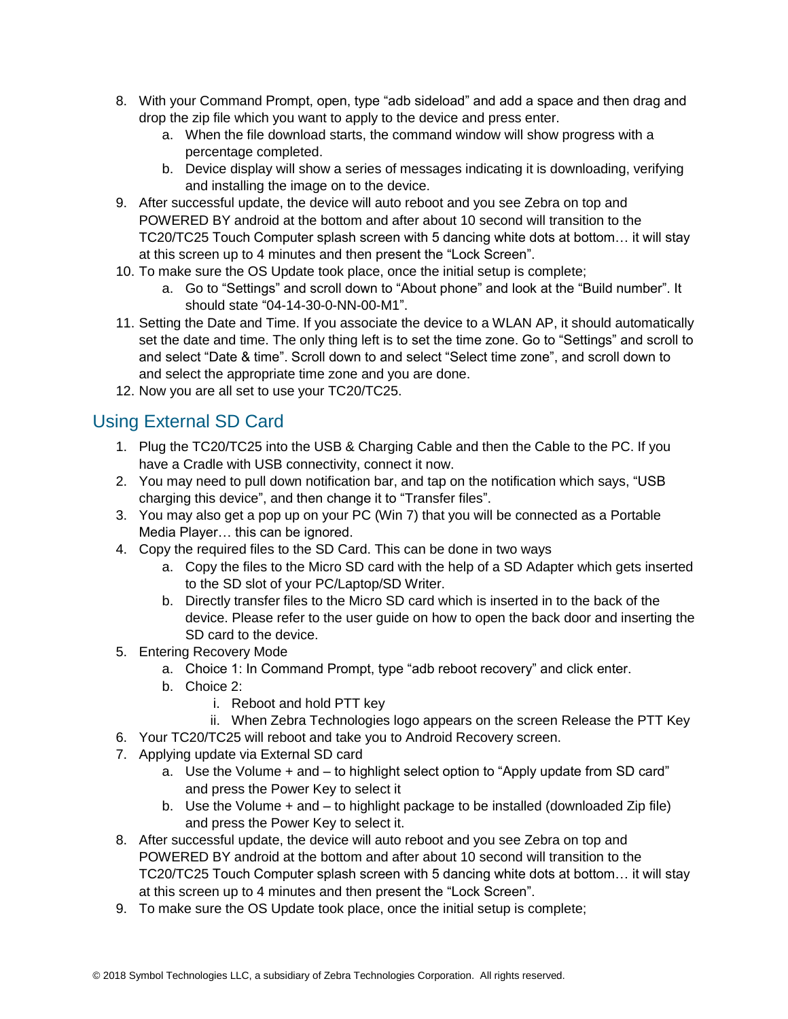- 8. With your Command Prompt, open, type "adb sideload" and add a space and then drag and drop the zip file which you want to apply to the device and press enter.
	- a. When the file download starts, the command window will show progress with a percentage completed.
	- b. Device display will show a series of messages indicating it is downloading, verifying and installing the image on to the device.
- 9. After successful update, the device will auto reboot and you see Zebra on top and POWERED BY android at the bottom and after about 10 second will transition to the TC20/TC25 Touch Computer splash screen with 5 dancing white dots at bottom… it will stay at this screen up to 4 minutes and then present the "Lock Screen".
- 10. To make sure the OS Update took place, once the initial setup is complete;
	- a. Go to "Settings" and scroll down to "About phone" and look at the "Build number". It should state "04-14-30-0-NN-00-M1".
- 11. Setting the Date and Time. If you associate the device to a WLAN AP, it should automatically set the date and time. The only thing left is to set the time zone. Go to "Settings" and scroll to and select "Date & time". Scroll down to and select "Select time zone", and scroll down to and select the appropriate time zone and you are done.
- 12. Now you are all set to use your TC20/TC25.

## Using External SD Card

- 1. Plug the TC20/TC25 into the USB & Charging Cable and then the Cable to the PC. If you have a Cradle with USB connectivity, connect it now.
- 2. You may need to pull down notification bar, and tap on the notification which says, "USB charging this device", and then change it to "Transfer files".
- 3. You may also get a pop up on your PC (Win 7) that you will be connected as a Portable Media Player… this can be ignored.
- 4. Copy the required files to the SD Card. This can be done in two ways
	- a. Copy the files to the Micro SD card with the help of a SD Adapter which gets inserted to the SD slot of your PC/Laptop/SD Writer.
	- b. Directly transfer files to the Micro SD card which is inserted in to the back of the device. Please refer to the user guide on how to open the back door and inserting the SD card to the device.
- 5. Entering Recovery Mode
	- a. Choice 1: In Command Prompt, type "adb reboot recovery" and click enter.
	- b. Choice 2:
		- i. Reboot and hold PTT key
	- ii. When Zebra Technologies logo appears on the screen Release the PTT Key
- 6. Your TC20/TC25 will reboot and take you to Android Recovery screen.
- 7. Applying update via External SD card
	- a. Use the Volume + and to highlight select option to "Apply update from SD card" and press the Power Key to select it
	- b. Use the Volume + and to highlight package to be installed (downloaded Zip file) and press the Power Key to select it.
- 8. After successful update, the device will auto reboot and you see Zebra on top and POWERED BY android at the bottom and after about 10 second will transition to the TC20/TC25 Touch Computer splash screen with 5 dancing white dots at bottom… it will stay at this screen up to 4 minutes and then present the "Lock Screen".
- 9. To make sure the OS Update took place, once the initial setup is complete;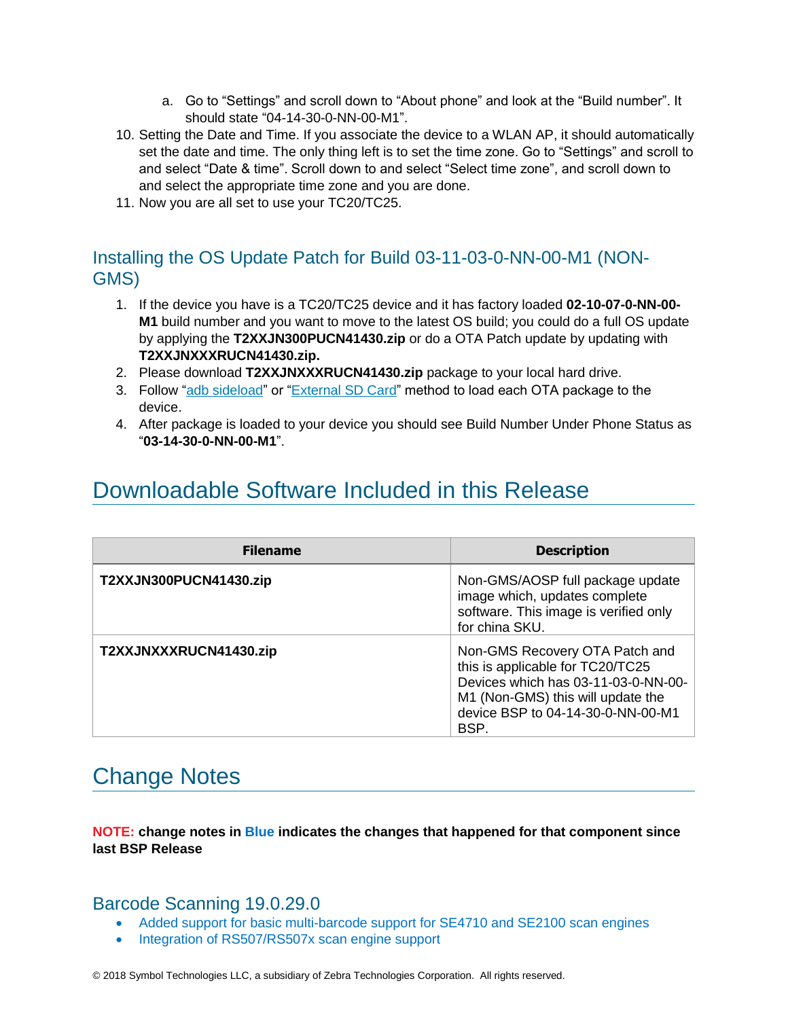- a. Go to "Settings" and scroll down to "About phone" and look at the "Build number". It should state "04-14-30-0-NN-00-M1".
- 10. Setting the Date and Time. If you associate the device to a WLAN AP, it should automatically set the date and time. The only thing left is to set the time zone. Go to "Settings" and scroll to and select "Date & time". Scroll down to and select "Select time zone", and scroll down to and select the appropriate time zone and you are done.
- 11. Now you are all set to use your TC20/TC25.

#### Installing the OS Update Patch for Build 03-11-03-0-NN-00-M1 (NON-GMS)

- 1. If the device you have is a TC20/TC25 device and it has factory loaded **02-10-07-0-NN-00- M1** build number and you want to move to the latest OS build; you could do a full OS update by applying the **T2XXJN300PUCN41430.zip** or do a OTA Patch update by updating with **T2XXJNXXXRUCN41430.zip.**
- 2. Please download **T2XXJNXXXRUCN41430.zip** package to your local hard drive.
- 3. Follow ["adb sideload"](adb#_Using_the_) or "External SD Card" method to load each OTA package to the device.
- 4. After package is loaded to your device you should see Build Number Under Phone Status as "**03-14-30-0-NN-00-M1**".

## <span id="page-5-0"></span>Downloadable Software Included in this Release

| <b>Filename</b>        | <b>Description</b>                                                                                                                                                                          |
|------------------------|---------------------------------------------------------------------------------------------------------------------------------------------------------------------------------------------|
| T2XXJN300PUCN41430.zip | Non-GMS/AOSP full package update<br>image which, updates complete<br>software. This image is verified only<br>for china SKU.                                                                |
| T2XXJNXXXRUCN41430.zip | Non-GMS Recovery OTA Patch and<br>this is applicable for TC20/TC25<br>Devices which has 03-11-03-0-NN-00-<br>M1 (Non-GMS) this will update the<br>device BSP to 04-14-30-0-NN-00-M1<br>BSP. |

## <span id="page-5-1"></span>Change Notes

**NOTE: change notes in Blue indicates the changes that happened for that component since last BSP Release**

#### Barcode Scanning 19.0.29.0

- Added support for basic multi-barcode support for SE4710 and SE2100 scan engines
- Integration of RS507/RS507x scan engine support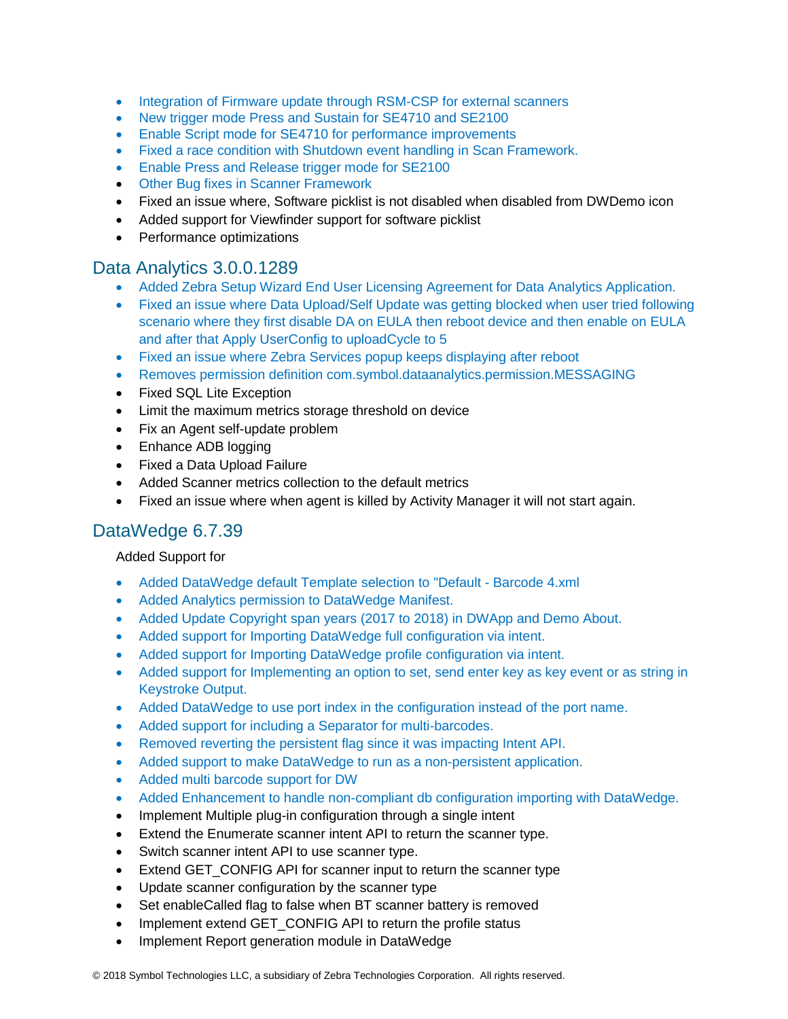- Integration of Firmware update through RSM-CSP for external scanners
- New trigger mode Press and Sustain for SE4710 and SE2100
- Enable Script mode for SE4710 for performance improvements
- Fixed a race condition with Shutdown event handling in Scan Framework.
- Enable Press and Release trigger mode for SE2100
- Other Bug fixes in Scanner Framework
- Fixed an issue where, Software picklist is not disabled when disabled from DWDemo icon
- Added support for Viewfinder support for software picklist
- Performance optimizations

#### Data Analytics 3.0.0.1289

- Added Zebra Setup Wizard End User Licensing Agreement for Data Analytics Application.
- Fixed an issue where Data Upload/Self Update was getting blocked when user tried following scenario where they first disable DA on EULA then reboot device and then enable on EULA and after that Apply UserConfig to uploadCycle to 5
- Fixed an issue where Zebra Services popup keeps displaying after reboot
- Removes permission definition com.symbol.dataanalytics.permission.MESSAGING
- Fixed SQL Lite Exception
- Limit the maximum metrics storage threshold on device
- Fix an Agent self-update problem
- Enhance ADB logging
- Fixed a Data Upload Failure
- Added Scanner metrics collection to the default metrics
- Fixed an issue where when agent is killed by Activity Manager it will not start again.

#### DataWedge 6.7.39

#### Added Support for

- Added DataWedge default Template selection to "Default Barcode 4.xml
- Added Analytics permission to DataWedge Manifest.
- Added Update Copyright span years (2017 to 2018) in DWApp and Demo About.
- Added support for Importing DataWedge full configuration via intent.
- Added support for Importing DataWedge profile configuration via intent.
- Added support for Implementing an option to set, send enter key as key event or as string in Keystroke Output.
- Added DataWedge to use port index in the configuration instead of the port name.
- Added support for including a Separator for multi-barcodes.
- Removed reverting the persistent flag since it was impacting Intent API.
- Added support to make DataWedge to run as a non-persistent application.
- Added multi barcode support for DW
- Added Enhancement to handle non-compliant db configuration importing with DataWedge.
- Implement Multiple plug-in configuration through a single intent
- Extend the Enumerate scanner intent API to return the scanner type.
- Switch scanner intent API to use scanner type.
- Extend GET\_CONFIG API for scanner input to return the scanner type
- Update scanner configuration by the scanner type
- Set enableCalled flag to false when BT scanner battery is removed
- Implement extend GET CONFIG API to return the profile status
- Implement Report generation module in DataWedge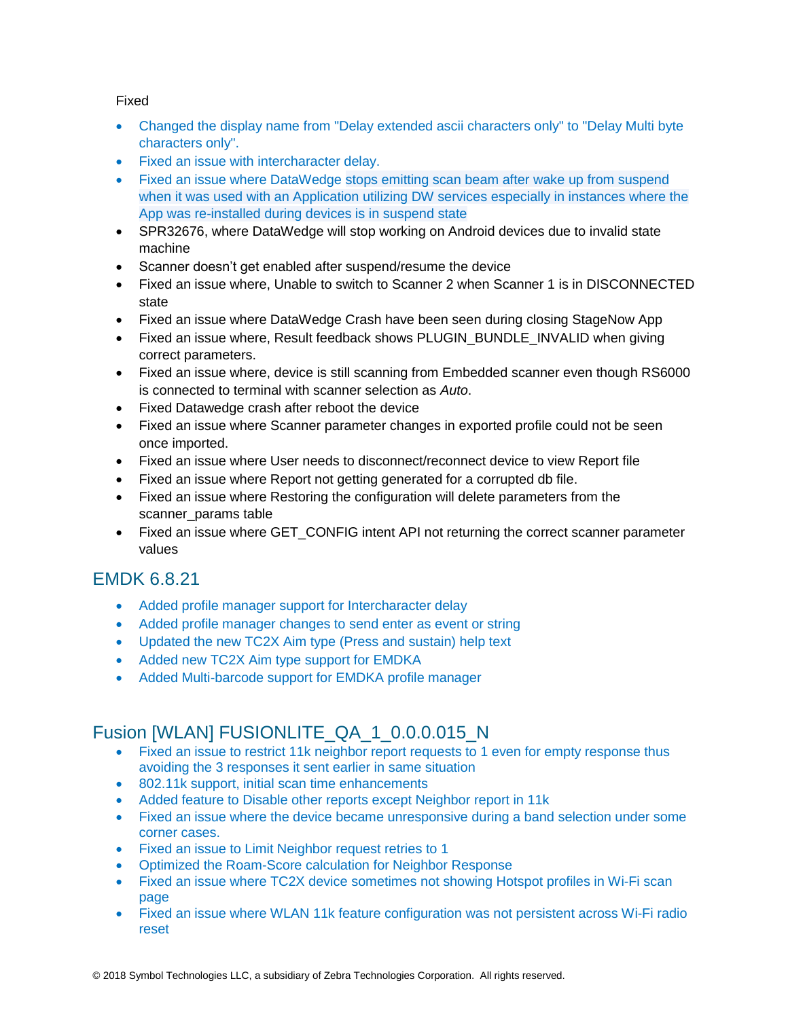#### Fixed

- Changed the display name from "Delay extended ascii characters only" to "Delay Multi byte characters only".
- Fixed an issue with intercharacter delay.
- Fixed an issue where DataWedge stops emitting scan beam after wake up from suspend when it was used with an Application utilizing DW services especially in instances where the App was re-installed during devices is in suspend state
- SPR32676, where DataWedge will stop working on Android devices due to invalid state machine
- Scanner doesn't get enabled after suspend/resume the device
- Fixed an issue where, Unable to switch to Scanner 2 when Scanner 1 is in DISCONNECTED state
- Fixed an issue where DataWedge Crash have been seen during closing StageNow App
- Fixed an issue where, Result feedback shows PLUGIN\_BUNDLE\_INVALID when giving correct parameters.
- Fixed an issue where, device is still scanning from Embedded scanner even though RS6000 is connected to terminal with scanner selection as *Auto*.
- Fixed Datawedge crash after reboot the device
- Fixed an issue where Scanner parameter changes in exported profile could not be seen once imported.
- Fixed an issue where User needs to disconnect/reconnect device to view Report file
- Fixed an issue where Report not getting generated for a corrupted db file.
- Fixed an issue where Restoring the configuration will delete parameters from the scanner\_params table
- Fixed an issue where GET CONFIG intent API not returning the correct scanner parameter values

### EMDK 6.8.21

- Added profile manager support for Intercharacter delay
- Added profile manager changes to send enter as event or string
- Updated the new TC2X Aim type (Press and sustain) help text
- Added new TC2X Aim type support for EMDKA
- Added Multi-barcode support for EMDKA profile manager

### Fusion [WLAN] FUSIONLITE\_QA\_1\_0.0.0.015\_N

- Fixed an issue to restrict 11k neighbor report requests to 1 even for empty response thus avoiding the 3 responses it sent earlier in same situation
- 802.11k support, initial scan time enhancements
- Added feature to Disable other reports except Neighbor report in 11k
- Fixed an issue where the device became unresponsive during a band selection under some corner cases.
- Fixed an issue to Limit Neighbor request retries to 1
- Optimized the Roam-Score calculation for Neighbor Response
- Fixed an issue where TC2X device sometimes not showing Hotspot profiles in Wi-Fi scan page
- Fixed an issue where WLAN 11k feature configuration was not persistent across Wi-Fi radio reset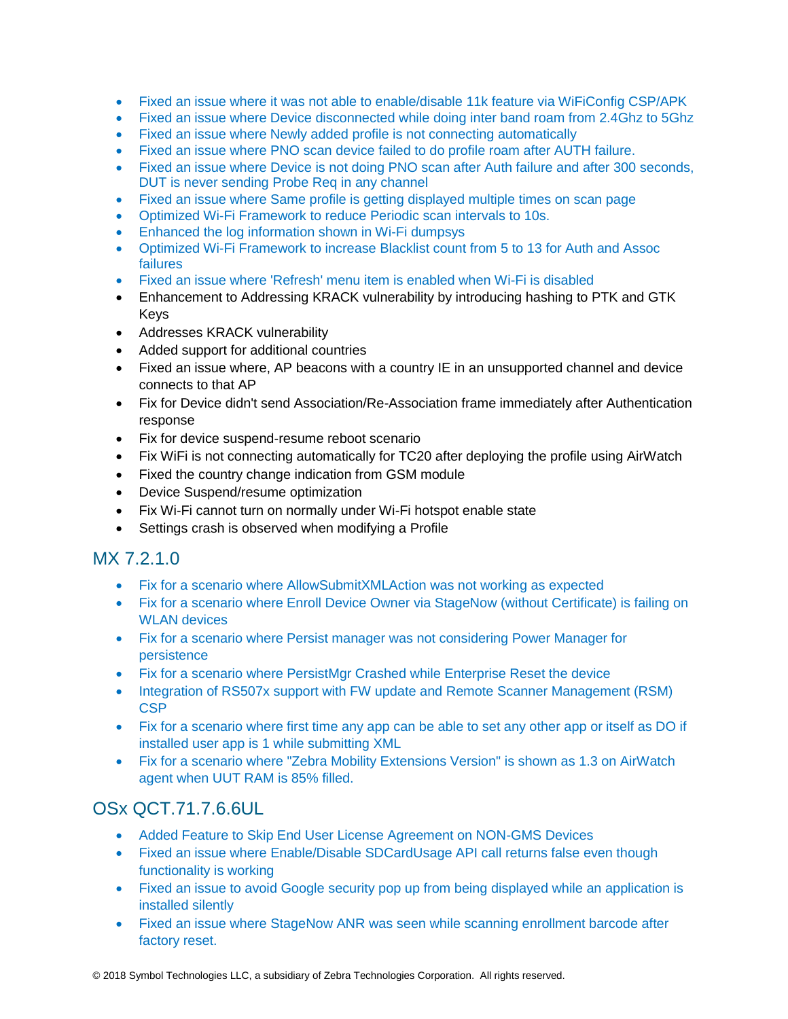- Fixed an issue where it was not able to enable/disable 11k feature via WiFiConfig CSP/APK
- Fixed an issue where Device disconnected while doing inter band roam from 2.4Ghz to 5Ghz
- Fixed an issue where Newly added profile is not connecting automatically
- Fixed an issue where PNO scan device failed to do profile roam after AUTH failure.
- Fixed an issue where Device is not doing PNO scan after Auth failure and after 300 seconds, DUT is never sending Probe Req in any channel
- Fixed an issue where Same profile is getting displayed multiple times on scan page
- Optimized Wi-Fi Framework to reduce Periodic scan intervals to 10s.
- Enhanced the log information shown in Wi-Fi dumpsys
- Optimized Wi-Fi Framework to increase Blacklist count from 5 to 13 for Auth and Assoc failures
- Fixed an issue where 'Refresh' menu item is enabled when Wi-Fi is disabled
- Enhancement to Addressing KRACK vulnerability by introducing hashing to PTK and GTK Keys
- Addresses KRACK vulnerability
- Added support for additional countries
- Fixed an issue where, AP beacons with a country IE in an unsupported channel and device connects to that AP
- Fix for Device didn't send Association/Re-Association frame immediately after Authentication response
- Fix for device suspend-resume reboot scenario
- Fix WiFi is not connecting automatically for TC20 after deploying the profile using AirWatch
- Fixed the country change indication from GSM module
- Device Suspend/resume optimization
- Fix Wi-Fi cannot turn on normally under Wi-Fi hotspot enable state
- Settings crash is observed when modifying a Profile

#### MX 7.2.1.0

- Fix for a scenario where AllowSubmitXMLAction was not working as expected
- Fix for a scenario where Enroll Device Owner via StageNow (without Certificate) is failing on WLAN devices
- Fix for a scenario where Persist manager was not considering Power Manager for persistence
- Fix for a scenario where PersistMgr Crashed while Enterprise Reset the device
- Integration of RS507x support with FW update and Remote Scanner Management (RSM) **CSP**
- Fix for a scenario where first time any app can be able to set any other app or itself as DO if installed user app is 1 while submitting XML
- Fix for a scenario where "Zebra Mobility Extensions Version" is shown as 1.3 on AirWatch agent when UUT RAM is 85% filled.

### OSx QCT.71.7.6.6UL

- Added Feature to Skip End User License Agreement on NON-GMS Devices
- Fixed an issue where Enable/Disable SDCardUsage API call returns false even though functionality is working
- Fixed an issue to avoid Google security pop up from being displayed while an application is installed silently
- Fixed an issue where StageNow ANR was seen while scanning enrollment barcode after factory reset.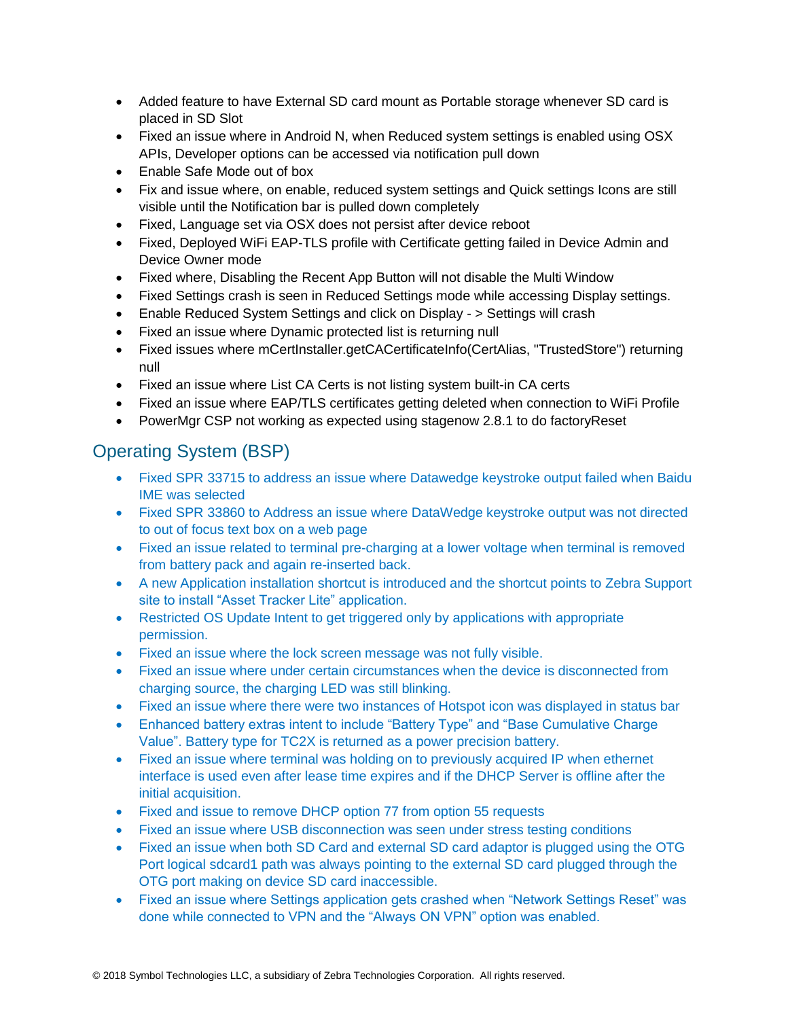- Added feature to have External SD card mount as Portable storage whenever SD card is placed in SD Slot
- Fixed an issue where in Android N, when Reduced system settings is enabled using OSX APIs, Developer options can be accessed via notification pull down
- Enable Safe Mode out of box
- Fix and issue where, on enable, reduced system settings and Quick settings Icons are still visible until the Notification bar is pulled down completely
- Fixed, Language set via OSX does not persist after device reboot
- Fixed, Deployed WiFi EAP-TLS profile with Certificate getting failed in Device Admin and Device Owner mode
- Fixed where, Disabling the Recent App Button will not disable the Multi Window
- Fixed Settings crash is seen in Reduced Settings mode while accessing Display settings.
- Enable Reduced System Settings and click on Display > Settings will crash
- Fixed an issue where Dynamic protected list is returning null
- Fixed issues where mCertInstaller.getCACertificateInfo(CertAlias, "TrustedStore") returning null
- Fixed an issue where List CA Certs is not listing system built-in CA certs
- Fixed an issue where EAP/TLS certificates getting deleted when connection to WiFi Profile
- PowerMgr CSP not working as expected using stagenow 2.8.1 to do factoryReset

## Operating System (BSP)

- Fixed SPR 33715 to address an issue where Datawedge keystroke output failed when Baidu IME was selected
- Fixed SPR 33860 to Address an issue where DataWedge keystroke output was not directed to out of focus text box on a web page
- Fixed an issue related to terminal pre-charging at a lower voltage when terminal is removed from battery pack and again re-inserted back.
- A new Application installation shortcut is introduced and the shortcut points to Zebra Support site to install "Asset Tracker Lite" application.
- Restricted OS Update Intent to get triggered only by applications with appropriate permission.
- Fixed an issue where the lock screen message was not fully visible.
- Fixed an issue where under certain circumstances when the device is disconnected from charging source, the charging LED was still blinking.
- Fixed an issue where there were two instances of Hotspot icon was displayed in status bar
- Enhanced battery extras intent to include "Battery Type" and "Base Cumulative Charge" Value". Battery type for TC2X is returned as a power precision battery.
- Fixed an issue where terminal was holding on to previously acquired IP when ethernet interface is used even after lease time expires and if the DHCP Server is offline after the initial acquisition.
- Fixed and issue to remove DHCP option 77 from option 55 requests
- Fixed an issue where USB disconnection was seen under stress testing conditions
- Fixed an issue when both SD Card and external SD card adaptor is plugged using the OTG Port logical sdcard1 path was always pointing to the external SD card plugged through the OTG port making on device SD card inaccessible.
- Fixed an issue where Settings application gets crashed when "Network Settings Reset" was done while connected to VPN and the "Always ON VPN" option was enabled.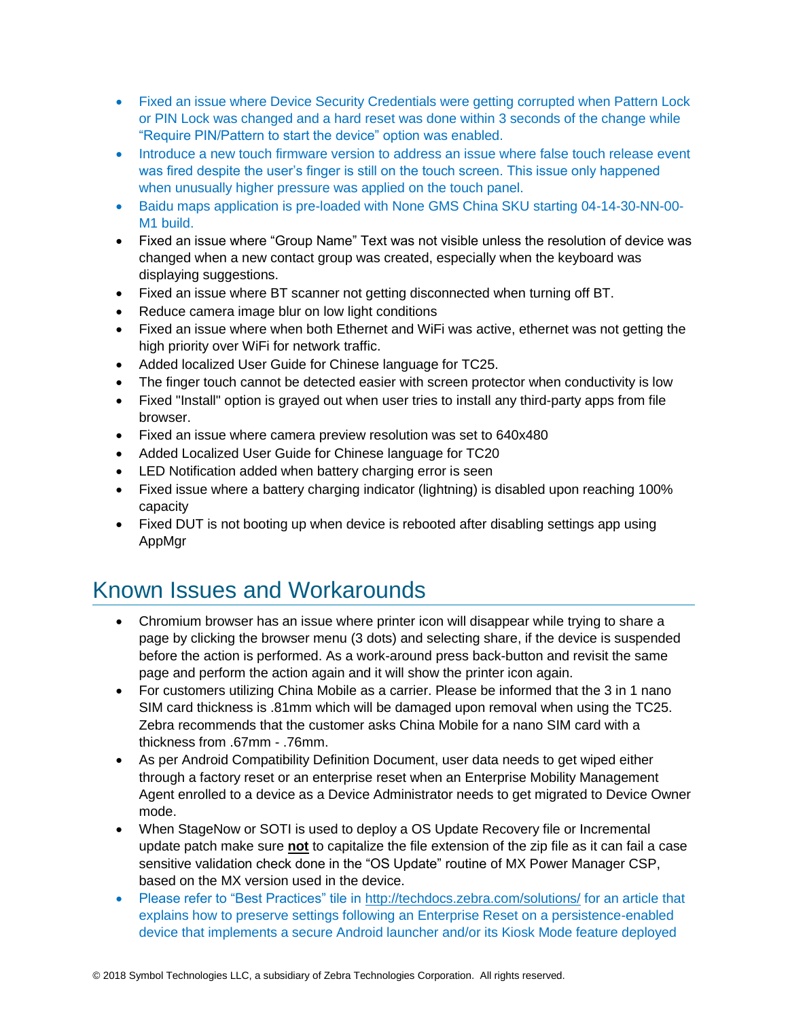- Fixed an issue where Device Security Credentials were getting corrupted when Pattern Lock or PIN Lock was changed and a hard reset was done within 3 seconds of the change while "Require PIN/Pattern to start the device" option was enabled.
- Introduce a new touch firmware version to address an issue where false touch release event was fired despite the user's finger is still on the touch screen. This issue only happened when unusually higher pressure was applied on the touch panel.
- Baidu maps application is pre-loaded with None GMS China SKU starting 04-14-30-NN-00- M1 build.
- Fixed an issue where "Group Name" Text was not visible unless the resolution of device was changed when a new contact group was created, especially when the keyboard was displaying suggestions.
- Fixed an issue where BT scanner not getting disconnected when turning off BT.
- Reduce camera image blur on low light conditions
- Fixed an issue where when both Ethernet and WiFi was active, ethernet was not getting the high priority over WiFi for network traffic.
- Added localized User Guide for Chinese language for TC25.
- The finger touch cannot be detected easier with screen protector when conductivity is low
- Fixed "Install" option is grayed out when user tries to install any third-party apps from file browser.
- Fixed an issue where camera preview resolution was set to 640x480
- Added Localized User Guide for Chinese language for TC20
- LED Notification added when battery charging error is seen
- Fixed issue where a battery charging indicator (lightning) is disabled upon reaching 100% capacity
- Fixed DUT is not booting up when device is rebooted after disabling settings app using AppMgr

## <span id="page-10-0"></span>Known Issues and Workarounds

- Chromium browser has an issue where printer icon will disappear while trying to share a page by clicking the browser menu (3 dots) and selecting share, if the device is suspended before the action is performed. As a work-around press back-button and revisit the same page and perform the action again and it will show the printer icon again.
- For customers utilizing China Mobile as a carrier. Please be informed that the 3 in 1 nano SIM card thickness is .81mm which will be damaged upon removal when using the TC25. Zebra recommends that the customer asks China Mobile for a nano SIM card with a thickness from .67mm - .76mm.
- As per Android Compatibility Definition Document, user data needs to get wiped either through a factory reset or an enterprise reset when an Enterprise Mobility Management Agent enrolled to a device as a Device Administrator needs to get migrated to Device Owner mode.
- When StageNow or SOTI is used to deploy a OS Update Recovery file or Incremental update patch make sure **not** to capitalize the file extension of the zip file as it can fail a case sensitive validation check done in the "OS Update" routine of MX Power Manager CSP, based on the MX version used in the device.
- Please refer to "Best Practices" tile in<http://techdocs.zebra.com/solutions/> for an article that explains how to preserve settings following an Enterprise Reset on a persistence-enabled device that implements a secure Android launcher and/or its Kiosk Mode feature deployed